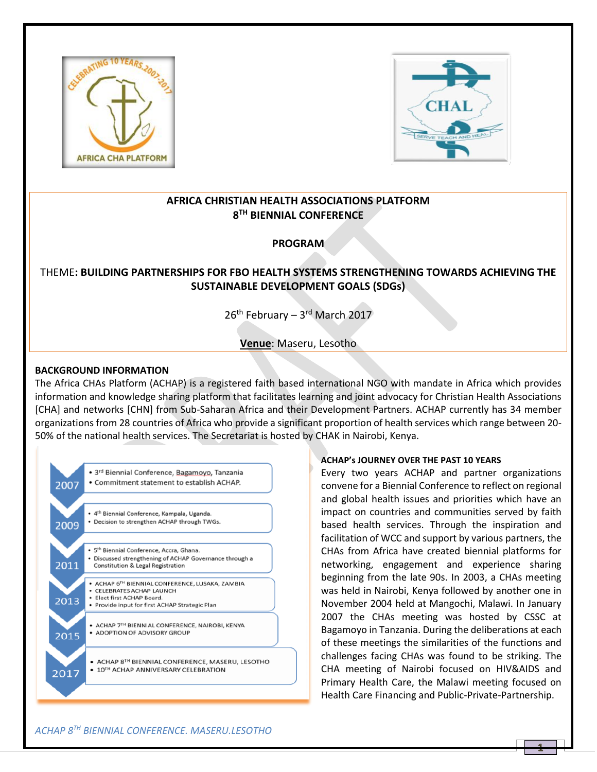



## **AFRICA CHRISTIAN HEALTH ASSOCIATIONS PLATFORM 8 TH BIENNIAL CONFERENCE**

## **PROGRAM**

# THEME**: BUILDING PARTNERSHIPS FOR FBO HEALTH SYSTEMS STRENGTHENING TOWARDS ACHIEVING THE SUSTAINABLE DEVELOPMENT GOALS (SDGs)**

26<sup>th</sup> February – 3<sup>rd</sup> March 2017

**Venue**: Maseru, Lesotho

### **BACKGROUND INFORMATION**

The Africa CHAs Platform (ACHAP) is a registered faith based international NGO with mandate in Africa which provides information and knowledge sharing platform that facilitates learning and joint advocacy for Christian Health Associations [CHA] and networks [CHN] from Sub-Saharan Africa and their Development Partners. ACHAP currently has 34 member organizations from 28 countries of Africa who provide a significant proportion of health services which range between 20- 50% of the national health services. The Secretariat is hosted by CHAK in Nairobi, Kenya.



### **ACHAP's JOURNEY OVER THE PAST 10 YEARS**

Every two years ACHAP and partner organizations convene for a Biennial Conference to reflect on regional and global health issues and priorities which have an impact on countries and communities served by faith based health services. Through the inspiration and facilitation of WCC and support by various partners, the CHAs from Africa have created biennial platforms for networking, engagement and experience sharing beginning from the late 90s. In 2003, a CHAs meeting was held in Nairobi, Kenya followed by another one in November 2004 held at Mangochi, Malawi. In January 2007 the CHAs meeting was hosted by CSSC at Bagamoyo in Tanzania. During the deliberations at each of these meetings the similarities of the functions and challenges facing CHAs was found to be striking. The CHA meeting of Nairobi focused on HIV&AIDS and Primary Health Care, the Malawi meeting focused on Health Care Financing and Public-Private-Partnership.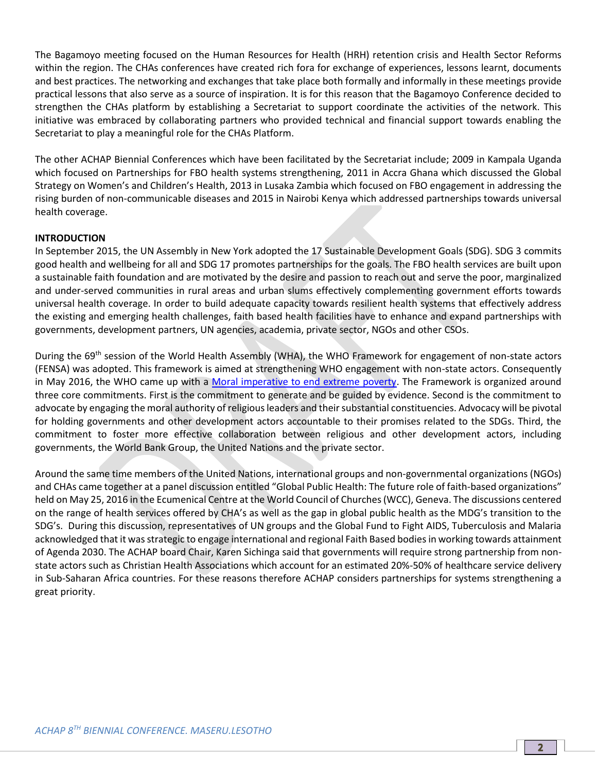The Bagamoyo meeting focused on the Human Resources for Health (HRH) retention crisis and Health Sector Reforms within the region. The CHAs conferences have created rich fora for exchange of experiences, lessons learnt, documents and best practices. The networking and exchanges that take place both formally and informally in these meetings provide practical lessons that also serve as a source of inspiration. It is for this reason that the Bagamoyo Conference decided to strengthen the CHAs platform by establishing a Secretariat to support coordinate the activities of the network. This initiative was embraced by collaborating partners who provided technical and financial support towards enabling the Secretariat to play a meaningful role for the CHAs Platform.

The other ACHAP Biennial Conferences which have been facilitated by the Secretariat include; 2009 in Kampala Uganda which focused on Partnerships for FBO health systems strengthening, 2011 in Accra Ghana which discussed the Global Strategy on Women's and Children's Health, 2013 in Lusaka Zambia which focused on FBO engagement in addressing the rising burden of non-communicable diseases and 2015 in Nairobi Kenya which addressed partnerships towards universal health coverage.

### **INTRODUCTION**

In September 2015, the UN Assembly in New York adopted the 17 Sustainable Development Goals (SDG). SDG 3 commits good health and wellbeing for all and SDG 17 promotes partnerships for the goals. The FBO health services are built upon a sustainable faith foundation and are motivated by the desire and passion to reach out and serve the poor, marginalized and under-served communities in rural areas and urban slums effectively complementing government efforts towards universal health coverage. In order to build adequate capacity towards resilient health systems that effectively address the existing and emerging health challenges, faith based health facilities have to enhance and expand partnerships with governments, development partners, UN agencies, academia, private sector, NGOs and other CSOs.

During the 69<sup>th</sup> session of the World Health Assembly (WHA), the WHO Framework for engagement of non-state actors (FENSA) was adopted. This framework is aimed at strengthening WHO engagement with non-state actors. Consequently in May 2016, the WHO came up with a [Moral imperative to end extreme poverty.](http://jliflc.com/wp-content/uploads/2015/09/Moral-Imperative-Action-Framework-Introduction.pdf) The Framework is organized around three core commitments. First is the commitment to generate and be guided by evidence. Second is the commitment to advocate by engaging the moral authority of religious leaders and their substantial constituencies. Advocacy will be pivotal for holding governments and other development actors accountable to their promises related to the SDGs. Third, the commitment to foster more effective collaboration between religious and other development actors, including governments, the World Bank Group, the United Nations and the private sector.

Around the same time members of the United Nations, international groups and non-governmental organizations (NGOs) and CHAs came together at a panel discussion entitled "Global Public Health: The future role of faith-based organizations" held on May 25, 2016 in the Ecumenical Centre at the World Council of Churches (WCC), Geneva. The discussions centered on the range of health services offered by CHA's as well as the gap in global public health as the MDG's transition to the SDG's. During this discussion, representatives of UN groups and the Global Fund to Fight AIDS, Tuberculosis and Malaria acknowledged that it was strategic to engage international and regional Faith Based bodies in working towards attainment of Agenda 2030. The ACHAP board Chair, Karen Sichinga said that governments will require strong partnership from nonstate actors such as Christian Health Associations which account for an estimated 20%-50% of healthcare service delivery in Sub-Saharan Africa countries. For these reasons therefore ACHAP considers partnerships for systems strengthening a great priority.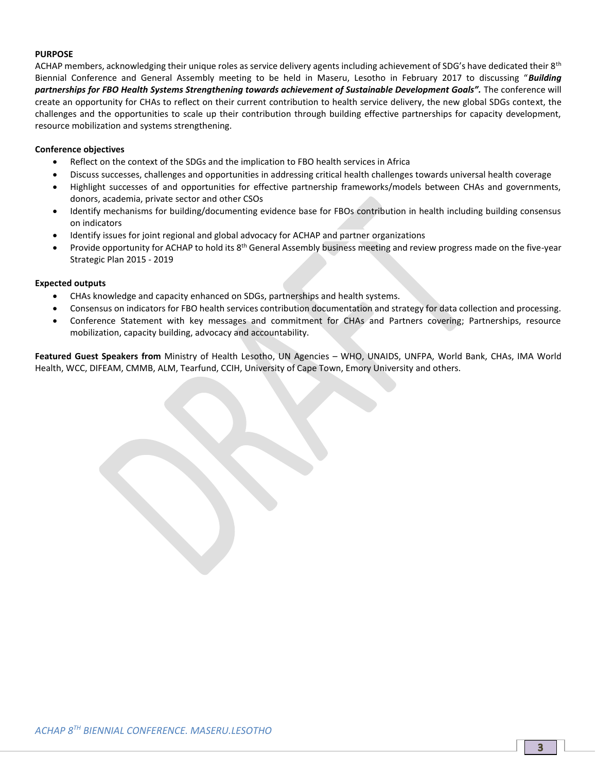#### **PURPOSE**

ACHAP members, acknowledging their unique roles as service delivery agents including achievement of SDG's have dedicated their 8<sup>th</sup> Biennial Conference and General Assembly meeting to be held in Maseru, Lesotho in February 2017 to discussing "*Building partnerships for FBO Health Systems Strengthening towards achievement of Sustainable Development Goals".* The conference will create an opportunity for CHAs to reflect on their current contribution to health service delivery, the new global SDGs context, the challenges and the opportunities to scale up their contribution through building effective partnerships for capacity development, resource mobilization and systems strengthening.

#### **Conference objectives**

- Reflect on the context of the SDGs and the implication to FBO health services in Africa
- Discuss successes, challenges and opportunities in addressing critical health challenges towards universal health coverage
- Highlight successes of and opportunities for effective partnership frameworks/models between CHAs and governments, donors, academia, private sector and other CSOs
- Identify mechanisms for building/documenting evidence base for FBOs contribution in health including building consensus on indicators
- Identify issues for joint regional and global advocacy for ACHAP and partner organizations
- Provide opportunity for ACHAP to hold its 8<sup>th</sup> General Assembly business meeting and review progress made on the five-year Strategic Plan 2015 - 2019

#### **Expected outputs**

- CHAs knowledge and capacity enhanced on SDGs, partnerships and health systems.
- Consensus on indicators for FBO health services contribution documentation and strategy for data collection and processing.
- Conference Statement with key messages and commitment for CHAs and Partners covering; Partnerships, resource mobilization, capacity building, advocacy and accountability.

**Featured Guest Speakers from** Ministry of Health Lesotho, UN Agencies – WHO, UNAIDS, UNFPA, World Bank, CHAs, IMA World Health, WCC, DIFEAM, CMMB, ALM, Tearfund, CCIH, University of Cape Town, Emory University and others.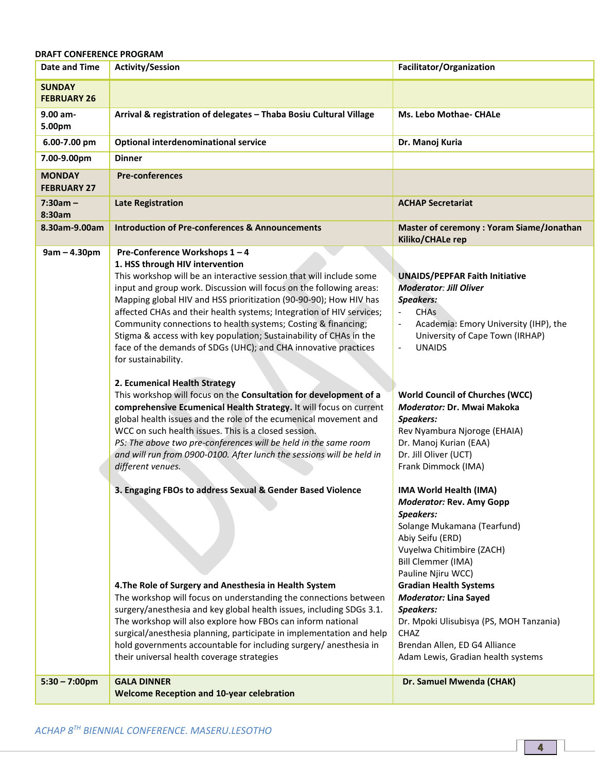### **DRAFT CONFERENCE PROGRAM**

| <b>Date and Time</b>                | <b>Activity/Session</b>                                                                                                                                                                                                                                                                                                                                                                                                                                                                                                                                                                     | Facilitator/Organization                                                                                                                                                                                                                                                                                                                                                                            |
|-------------------------------------|---------------------------------------------------------------------------------------------------------------------------------------------------------------------------------------------------------------------------------------------------------------------------------------------------------------------------------------------------------------------------------------------------------------------------------------------------------------------------------------------------------------------------------------------------------------------------------------------|-----------------------------------------------------------------------------------------------------------------------------------------------------------------------------------------------------------------------------------------------------------------------------------------------------------------------------------------------------------------------------------------------------|
| <b>SUNDAY</b><br><b>FEBRUARY 26</b> |                                                                                                                                                                                                                                                                                                                                                                                                                                                                                                                                                                                             |                                                                                                                                                                                                                                                                                                                                                                                                     |
| 9.00 am-<br>5.00pm                  | Arrival & registration of delegates - Thaba Bosiu Cultural Village                                                                                                                                                                                                                                                                                                                                                                                                                                                                                                                          | Ms. Lebo Mothae- CHALe                                                                                                                                                                                                                                                                                                                                                                              |
| 6.00-7.00 pm                        | <b>Optional interdenominational service</b>                                                                                                                                                                                                                                                                                                                                                                                                                                                                                                                                                 | Dr. Manoj Kuria                                                                                                                                                                                                                                                                                                                                                                                     |
| 7.00-9.00pm                         | <b>Dinner</b>                                                                                                                                                                                                                                                                                                                                                                                                                                                                                                                                                                               |                                                                                                                                                                                                                                                                                                                                                                                                     |
| <b>MONDAY</b><br><b>FEBRUARY 27</b> | <b>Pre-conferences</b>                                                                                                                                                                                                                                                                                                                                                                                                                                                                                                                                                                      |                                                                                                                                                                                                                                                                                                                                                                                                     |
| $7:30am -$<br>8:30am                | <b>Late Registration</b>                                                                                                                                                                                                                                                                                                                                                                                                                                                                                                                                                                    | <b>ACHAP Secretariat</b>                                                                                                                                                                                                                                                                                                                                                                            |
| 8.30am-9.00am                       | <b>Introduction of Pre-conferences &amp; Announcements</b>                                                                                                                                                                                                                                                                                                                                                                                                                                                                                                                                  | Master of ceremony: Yoram Siame/Jonathan<br>Kiliko/CHALe rep                                                                                                                                                                                                                                                                                                                                        |
| $9am - 4.30pm$                      | Pre-Conference Workshops 1-4<br>1. HSS through HIV intervention<br>This workshop will be an interactive session that will include some<br>input and group work. Discussion will focus on the following areas:<br>Mapping global HIV and HSS prioritization (90-90-90); How HIV has<br>affected CHAs and their health systems; Integration of HIV services;<br>Community connections to health systems; Costing & financing;<br>Stigma & access with key population; Sustainability of CHAs in the<br>face of the demands of SDGs (UHC); and CHA innovative practices<br>for sustainability. | <b>UNAIDS/PEPFAR Faith Initiative</b><br><b>Moderator: Jill Oliver</b><br><b>Speakers:</b><br><b>CHAs</b><br>Academia: Emory University (IHP), the<br>University of Cape Town (IRHAP)<br><b>UNAIDS</b><br>$\overline{\phantom{a}}$                                                                                                                                                                  |
|                                     | 2. Ecumenical Health Strategy<br>This workshop will focus on the Consultation for development of a<br>comprehensive Ecumenical Health Strategy. It will focus on current<br>global health issues and the role of the ecumenical movement and<br>WCC on such health issues. This is a closed session.<br>PS: The above two pre-conferences will be held in the same room<br>and will run from 0900-0100. After lunch the sessions will be held in<br>different venues.                                                                                                                       | <b>World Council of Churches (WCC)</b><br>Moderator: Dr. Mwai Makoka<br><b>Speakers:</b><br>Rev Nyambura Njoroge (EHAIA)<br>Dr. Manoj Kurian (EAA)<br>Dr. Jill Oliver (UCT)<br>Frank Dimmock (IMA)                                                                                                                                                                                                  |
|                                     | 3. Engaging FBOs to address Sexual & Gender Based Violence<br>4. The Role of Surgery and Anesthesia in Health System<br>The workshop will focus on understanding the connections between<br>surgery/anesthesia and key global health issues, including SDGs 3.1.<br>The workshop will also explore how FBOs can inform national<br>surgical/anesthesia planning, participate in implementation and help<br>hold governments accountable for including surgery/ anesthesia in<br>their universal health coverage strategies                                                                  | IMA World Health (IMA)<br>Moderator: Rev. Amy Gopp<br>Speakers:<br>Solange Mukamana (Tearfund)<br>Abiy Seifu (ERD)<br>Vuyelwa Chitimbire (ZACH)<br>Bill Clemmer (IMA)<br>Pauline Njiru WCC)<br><b>Gradian Health Systems</b><br><b>Moderator: Lina Sayed</b><br>Speakers:<br>Dr. Mpoki Ulisubisya (PS, MOH Tanzania)<br>CHAZ<br>Brendan Allen, ED G4 Alliance<br>Adam Lewis, Gradian health systems |
| $5:30 - 7:00$ pm                    | <b>GALA DINNER</b><br><b>Welcome Reception and 10-year celebration</b>                                                                                                                                                                                                                                                                                                                                                                                                                                                                                                                      | Dr. Samuel Mwenda (CHAK)                                                                                                                                                                                                                                                                                                                                                                            |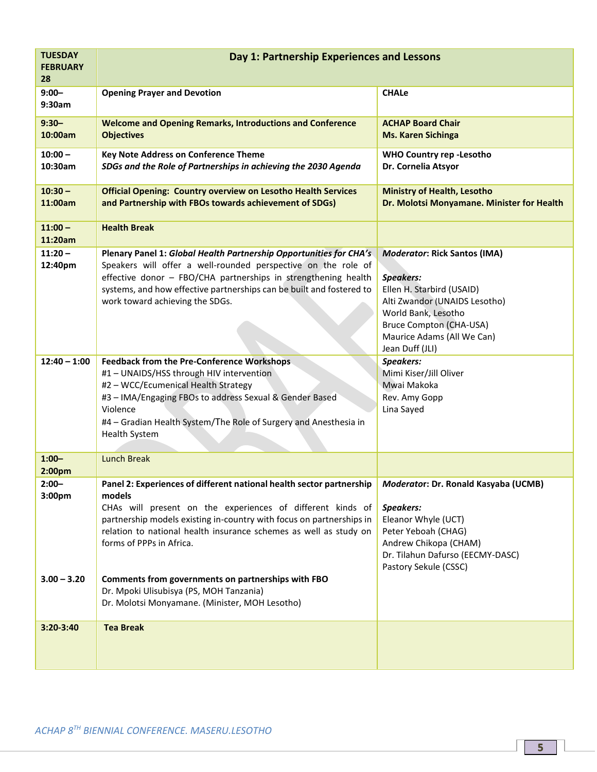| <b>TUESDAY</b><br><b>FEBRUARY</b><br>28         | Day 1: Partnership Experiences and Lessons                                                                                                                                                                                                                                                                                                                                                                                                                                                                      |                                                                                                                                                                                                                          |
|-------------------------------------------------|-----------------------------------------------------------------------------------------------------------------------------------------------------------------------------------------------------------------------------------------------------------------------------------------------------------------------------------------------------------------------------------------------------------------------------------------------------------------------------------------------------------------|--------------------------------------------------------------------------------------------------------------------------------------------------------------------------------------------------------------------------|
| $9:00 -$<br>9:30am                              | <b>Opening Prayer and Devotion</b>                                                                                                                                                                                                                                                                                                                                                                                                                                                                              | <b>CHALe</b>                                                                                                                                                                                                             |
| $9:30 -$<br>10:00am                             | <b>Welcome and Opening Remarks, Introductions and Conference</b><br><b>Objectives</b>                                                                                                                                                                                                                                                                                                                                                                                                                           | <b>ACHAP Board Chair</b><br><b>Ms. Karen Sichinga</b>                                                                                                                                                                    |
| $10:00 -$<br>10:30am                            | <b>Key Note Address on Conference Theme</b><br>SDGs and the Role of Partnerships in achieving the 2030 Agenda                                                                                                                                                                                                                                                                                                                                                                                                   | <b>WHO Country rep -Lesotho</b><br>Dr. Cornelia Atsyor                                                                                                                                                                   |
| $10:30 -$<br>11:00am                            | <b>Official Opening: Country overview on Lesotho Health Services</b><br>and Partnership with FBOs towards achievement of SDGs)                                                                                                                                                                                                                                                                                                                                                                                  | <b>Ministry of Health, Lesotho</b><br>Dr. Molotsi Monyamane. Minister for Health                                                                                                                                         |
| $11:00 -$<br>11:20am                            | <b>Health Break</b>                                                                                                                                                                                                                                                                                                                                                                                                                                                                                             |                                                                                                                                                                                                                          |
| $11:20 -$<br>12:40pm                            | Plenary Panel 1: Global Health Partnership Opportunities for CHA's<br>Speakers will offer a well-rounded perspective on the role of<br>effective donor - FBO/CHA partnerships in strengthening health<br>systems, and how effective partnerships can be built and fostered to<br>work toward achieving the SDGs.                                                                                                                                                                                                | <b>Moderator: Rick Santos (IMA)</b><br><b>Speakers:</b><br>Ellen H. Starbird (USAID)<br>Alti Zwandor (UNAIDS Lesotho)<br>World Bank, Lesotho<br>Bruce Compton (CHA-USA)<br>Maurice Adams (All We Can)<br>Jean Duff (JLI) |
| $12:40 - 1:00$                                  | <b>Feedback from the Pre-Conference Workshops</b><br>#1 - UNAIDS/HSS through HIV intervention<br>#2 - WCC/Ecumenical Health Strategy<br>#3 - IMA/Engaging FBOs to address Sexual & Gender Based<br>Violence<br>#4 - Gradian Health System/The Role of Surgery and Anesthesia in<br><b>Health System</b>                                                                                                                                                                                                         | Speakers:<br>Mimi Kiser/Jill Oliver<br>Mwai Makoka<br>Rev. Amy Gopp<br>Lina Sayed                                                                                                                                        |
| $1:00 -$<br>2:00pm                              | <b>Lunch Break</b>                                                                                                                                                                                                                                                                                                                                                                                                                                                                                              |                                                                                                                                                                                                                          |
| $2:00 -$<br>3:00 <sub>pm</sub><br>$3.00 - 3.20$ | Panel 2: Experiences of different national health sector partnership   Moderator: Dr. Ronald Kasyaba (UCMB)<br>models<br>CHAs will present on the experiences of different kinds of<br>partnership models existing in-country with focus on partnerships in<br>relation to national health insurance schemes as well as study on<br>forms of PPPs in Africa.<br>Comments from governments on partnerships with FBO<br>Dr. Mpoki Ulisubisya (PS, MOH Tanzania)<br>Dr. Molotsi Monyamane. (Minister, MOH Lesotho) | Speakers:<br>Eleanor Whyle (UCT)<br>Peter Yeboah (CHAG)<br>Andrew Chikopa (CHAM)<br>Dr. Tilahun Dafurso (EECMY-DASC)<br>Pastory Sekule (CSSC)                                                                            |
| 3:20-3:40                                       | <b>Tea Break</b>                                                                                                                                                                                                                                                                                                                                                                                                                                                                                                |                                                                                                                                                                                                                          |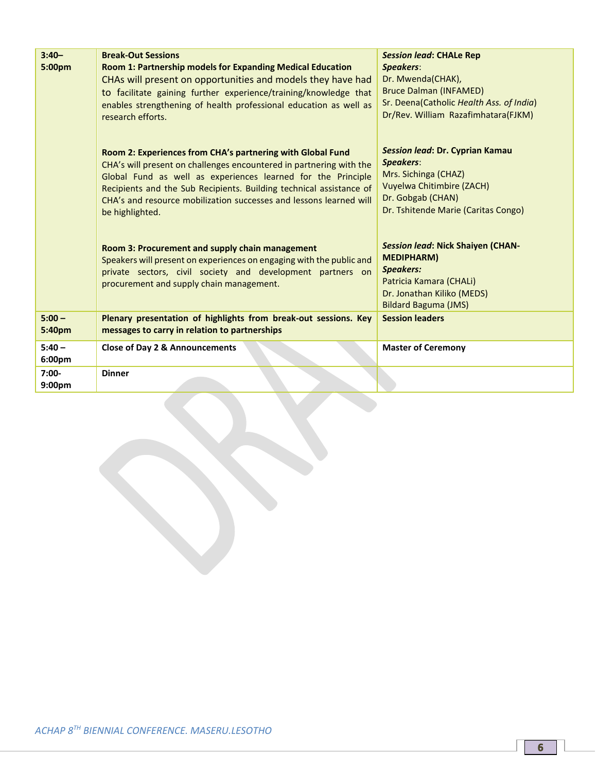| $3:40-$<br>5:00pm             | <b>Break-Out Sessions</b><br>Room 1: Partnership models for Expanding Medical Education<br>CHAs will present on opportunities and models they have had<br>to facilitate gaining further experience/training/knowledge that<br>enables strengthening of health professional education as well as<br>research efforts.                                              | <b>Session lead: CHALe Rep</b><br><b>Speakers:</b><br>Dr. Mwenda(CHAK),<br><b>Bruce Dalman (INFAMED)</b><br>Sr. Deena(Catholic Health Ass. of India)<br>Dr/Rev. William Razafimhatara(FJKM) |
|-------------------------------|-------------------------------------------------------------------------------------------------------------------------------------------------------------------------------------------------------------------------------------------------------------------------------------------------------------------------------------------------------------------|---------------------------------------------------------------------------------------------------------------------------------------------------------------------------------------------|
|                               | Room 2: Experiences from CHA's partnering with Global Fund<br>CHA's will present on challenges encountered in partnering with the<br>Global Fund as well as experiences learned for the Principle<br>Recipients and the Sub Recipients. Building technical assistance of<br>CHA's and resource mobilization successes and lessons learned will<br>be highlighted. | Session lead: Dr. Cyprian Kamau<br><b>Speakers:</b><br>Mrs. Sichinga (CHAZ)<br><b>Vuyelwa Chitimbire (ZACH)</b><br>Dr. Gobgab (CHAN)<br>Dr. Tshitende Marie (Caritas Congo)                 |
|                               | Room 3: Procurement and supply chain management<br>Speakers will present on experiences on engaging with the public and<br>private sectors, civil society and development partners on<br>procurement and supply chain management.                                                                                                                                 | <b>Session lead: Nick Shaiyen (CHAN-</b><br><b>MEDIPHARM</b> )<br><b>Speakers:</b><br>Patricia Kamara (CHALi)<br>Dr. Jonathan Kiliko (MEDS)<br><b>Bildard Baguma (JMS)</b>                  |
| $5:00 -$<br>5:40pm            | Plenary presentation of highlights from break-out sessions. Key<br>messages to carry in relation to partnerships                                                                                                                                                                                                                                                  | <b>Session leaders</b>                                                                                                                                                                      |
| $5:40 -$<br>6:00pm            | <b>Close of Day 2 &amp; Announcements</b>                                                                                                                                                                                                                                                                                                                         | <b>Master of Ceremony</b>                                                                                                                                                                   |
| $7:00-$<br>9:00 <sub>pm</sub> | <b>Dinner</b>                                                                                                                                                                                                                                                                                                                                                     |                                                                                                                                                                                             |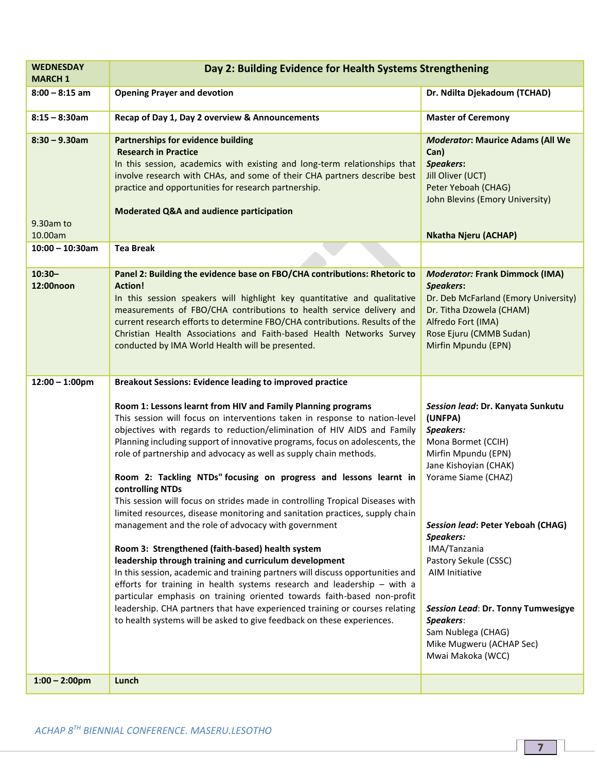| <b>WEDNESDAY</b><br><b>MARCH 1</b>       | Day 2: Building Evidence for Health Systems Strengthening                                                                                                                                                                                                                                                                                                                                                                                                                                                                                                                                                                                                                                                                                                                                                                                                                                                                                                                                                                                                                                                                                                                                                                                                                     |                                                                                                                                                                                                                                                                                                                                                                                                      |
|------------------------------------------|-------------------------------------------------------------------------------------------------------------------------------------------------------------------------------------------------------------------------------------------------------------------------------------------------------------------------------------------------------------------------------------------------------------------------------------------------------------------------------------------------------------------------------------------------------------------------------------------------------------------------------------------------------------------------------------------------------------------------------------------------------------------------------------------------------------------------------------------------------------------------------------------------------------------------------------------------------------------------------------------------------------------------------------------------------------------------------------------------------------------------------------------------------------------------------------------------------------------------------------------------------------------------------|------------------------------------------------------------------------------------------------------------------------------------------------------------------------------------------------------------------------------------------------------------------------------------------------------------------------------------------------------------------------------------------------------|
| $8:00 - 8:15$ am                         | <b>Opening Prayer and devotion</b>                                                                                                                                                                                                                                                                                                                                                                                                                                                                                                                                                                                                                                                                                                                                                                                                                                                                                                                                                                                                                                                                                                                                                                                                                                            | Dr. Ndilta Djekadoum (TCHAD)                                                                                                                                                                                                                                                                                                                                                                         |
| $8:15 - 8:30$ am                         | Recap of Day 1, Day 2 overview & Announcements                                                                                                                                                                                                                                                                                                                                                                                                                                                                                                                                                                                                                                                                                                                                                                                                                                                                                                                                                                                                                                                                                                                                                                                                                                | <b>Master of Ceremony</b>                                                                                                                                                                                                                                                                                                                                                                            |
| $8:30 - 9.30$ am<br>9.30am to<br>10.00am | <b>Partnerships for evidence building</b><br><b>Research in Practice</b><br>In this session, academics with existing and long-term relationships that<br>involve research with CHAs, and some of their CHA partners describe best<br>practice and opportunities for research partnership.<br>Moderated Q&A and audience participation                                                                                                                                                                                                                                                                                                                                                                                                                                                                                                                                                                                                                                                                                                                                                                                                                                                                                                                                         | <b>Moderator: Maurice Adams (All We</b><br>Can)<br><b>Speakers:</b><br>Jill Oliver (UCT)<br>Peter Yeboah (CHAG)<br>John Blevins (Emory University)<br><b>Nkatha Njeru (ACHAP)</b>                                                                                                                                                                                                                    |
| $10:00 - 10:30$ am                       | <b>Tea Break</b>                                                                                                                                                                                                                                                                                                                                                                                                                                                                                                                                                                                                                                                                                                                                                                                                                                                                                                                                                                                                                                                                                                                                                                                                                                                              |                                                                                                                                                                                                                                                                                                                                                                                                      |
| $10:30 -$<br>12:00noon                   | Panel 2: Building the evidence base on FBO/CHA contributions: Rhetoric to<br><b>Action!</b><br>In this session speakers will highlight key quantitative and qualitative<br>measurements of FBO/CHA contributions to health service delivery and<br>current research efforts to determine FBO/CHA contributions. Results of the<br>Christian Health Associations and Faith-based Health Networks Survey<br>conducted by IMA World Health will be presented.                                                                                                                                                                                                                                                                                                                                                                                                                                                                                                                                                                                                                                                                                                                                                                                                                    | <b>Moderator: Frank Dimmock (IMA)</b><br><b>Speakers:</b><br>Dr. Deb McFarland (Emory University)<br>Dr. Titha Dzowela (CHAM)<br>Alfredo Fort (IMA)<br>Rose Ejuru (CMMB Sudan)<br>Mirfin Mpundu (EPN)                                                                                                                                                                                                |
| $12:00 - 1:00$ pm                        | <b>Breakout Sessions: Evidence leading to improved practice</b><br>Room 1: Lessons learnt from HIV and Family Planning programs<br>This session will focus on interventions taken in response to nation-level<br>objectives with regards to reduction/elimination of HIV AIDS and Family<br>Planning including support of innovative programs, focus on adolescents, the<br>role of partnership and advocacy as well as supply chain methods.<br>Room 2: Tackling NTDs" focusing on progress and lessons learnt in<br>controlling NTDs<br>This session will focus on strides made in controlling Tropical Diseases with<br>limited resources, disease monitoring and sanitation practices, supply chain<br>management and the role of advocacy with government<br>Room 3: Strengthened (faith-based) health system<br>leadership through training and curriculum development<br>In this session, academic and training partners will discuss opportunities and<br>efforts for training in health systems research and leadership - with a<br>particular emphasis on training oriented towards faith-based non-profit<br>leadership. CHA partners that have experienced training or courses relating<br>to health systems will be asked to give feedback on these experiences. | Session lead: Dr. Kanyata Sunkutu<br>(UNFPA)<br>Speakers:<br>Mona Bormet (CCIH)<br>Mirfin Mpundu (EPN)<br>Jane Kishoyian (CHAK)<br>Yorame Siame (CHAZ)<br>Session lead: Peter Yeboah (CHAG)<br>Speakers:<br>IMA/Tanzania<br>Pastory Sekule (CSSC)<br><b>AIM Initiative</b><br>Session Lead: Dr. Tonny Tumwesigye<br>Speakers:<br>Sam Nublega (CHAG)<br>Mike Mugweru (ACHAP Sec)<br>Mwai Makoka (WCC) |
| $1:00 - 2:00$ pm                         | Lunch                                                                                                                                                                                                                                                                                                                                                                                                                                                                                                                                                                                                                                                                                                                                                                                                                                                                                                                                                                                                                                                                                                                                                                                                                                                                         |                                                                                                                                                                                                                                                                                                                                                                                                      |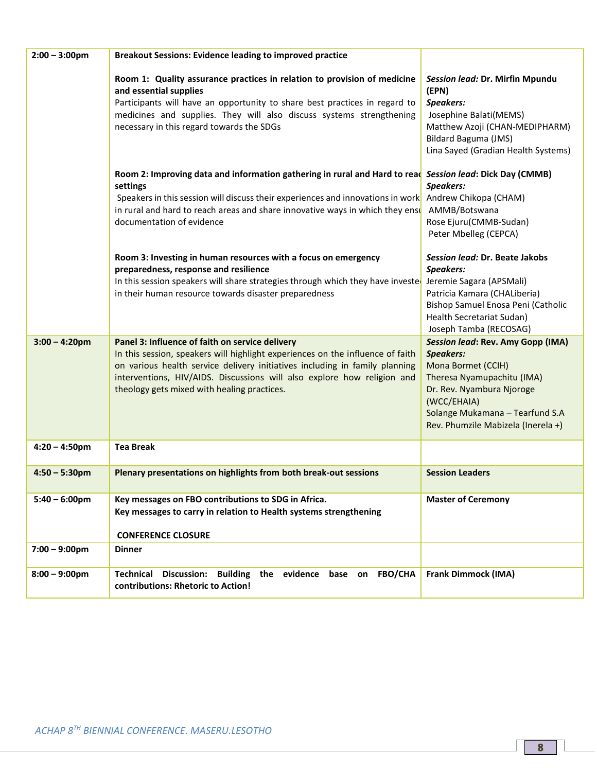| $2:00 - 3:00$ pm | <b>Breakout Sessions: Evidence leading to improved practice</b>                                                                                                                                                                                                                                                                             |                                                                                                                                                                                                                                       |
|------------------|---------------------------------------------------------------------------------------------------------------------------------------------------------------------------------------------------------------------------------------------------------------------------------------------------------------------------------------------|---------------------------------------------------------------------------------------------------------------------------------------------------------------------------------------------------------------------------------------|
|                  | Room 1: Quality assurance practices in relation to provision of medicine<br>and essential supplies<br>Participants will have an opportunity to share best practices in regard to<br>medicines and supplies. They will also discuss systems strengthening<br>necessary in this regard towards the SDGs                                       | Session lead: Dr. Mirfin Mpundu<br>(EPN)<br>Speakers:<br>Josephine Balati(MEMS)<br>Matthew Azoji (CHAN-MEDIPHARM)<br>Bildard Baguma (JMS)<br>Lina Sayed (Gradian Health Systems)                                                      |
|                  | Room 2: Improving data and information gathering in rural and Hard to read Session lead: Dick Day (CMMB)<br>settings<br>Speakers in this session will discuss their experiences and innovations in work Andrew Chikopa (CHAM)<br>in rural and hard to reach areas and share innovative ways in which they ensu<br>documentation of evidence | Speakers:<br>AMMB/Botswana<br>Rose Ejuru(CMMB-Sudan)<br>Peter Mbelleg (CEPCA)                                                                                                                                                         |
|                  | Room 3: Investing in human resources with a focus on emergency<br>preparedness, response and resilience<br>In this session speakers will share strategies through which they have invested<br>in their human resource towards disaster preparedness                                                                                         | Session lead: Dr. Beate Jakobs<br>Speakers:<br>Jeremie Sagara (APSMali)<br>Patricia Kamara (CHALiberia)<br>Bishop Samuel Enosa Peni (Catholic<br>Health Secretariat Sudan)<br>Joseph Tamba (RECOSAG)                                  |
| $3:00 - 4:20$ pm | Panel 3: Influence of faith on service delivery<br>In this session, speakers will highlight experiences on the influence of faith<br>on various health service delivery initiatives including in family planning<br>interventions, HIV/AIDS. Discussions will also explore how religion and<br>theology gets mixed with healing practices.  | <b>Session lead: Rev. Amy Gopp (IMA)</b><br><b>Speakers:</b><br>Mona Bormet (CCIH)<br>Theresa Nyamupachitu (IMA)<br>Dr. Rev. Nyambura Njoroge<br>(WCC/EHAIA)<br>Solange Mukamana - Tearfund S.A<br>Rev. Phumzile Mabizela (Inerela +) |
| $4:20 - 4:50$ pm | <b>Tea Break</b>                                                                                                                                                                                                                                                                                                                            |                                                                                                                                                                                                                                       |
| $4:50 - 5:30$ pm | Plenary presentations on highlights from both break-out sessions                                                                                                                                                                                                                                                                            | <b>Session Leaders</b>                                                                                                                                                                                                                |
| $5:40 - 6:00$ pm | Key messages on FBO contributions to SDG in Africa.<br>Key messages to carry in relation to Health systems strengthening<br><b>CONFERENCE CLOSURE</b>                                                                                                                                                                                       | <b>Master of Ceremony</b>                                                                                                                                                                                                             |
| $7:00 - 9:00$ pm | <b>Dinner</b>                                                                                                                                                                                                                                                                                                                               |                                                                                                                                                                                                                                       |
| $8:00 - 9:00$ pm | evidence<br>Technical Discussion: Building the<br>base on<br><b>FBO/CHA</b><br>contributions: Rhetoric to Action!                                                                                                                                                                                                                           | <b>Frank Dimmock (IMA)</b>                                                                                                                                                                                                            |